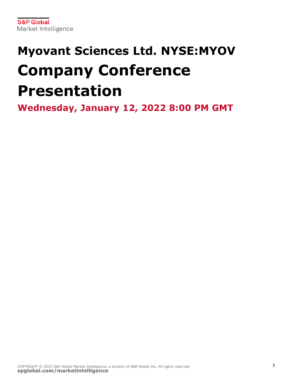# **Myovant Sciences Ltd. NYSE:MYOV Company Conference Presentation**

**Wednesday, January 12, 2022 8:00 PM GMT**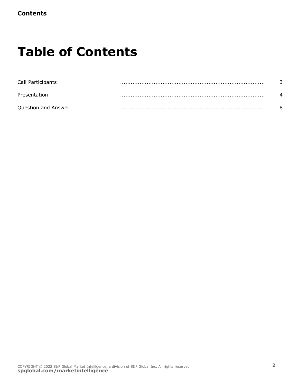## **Table of Contents**

| Call Participants   |   |  |
|---------------------|---|--|
| Presentation        | . |  |
| Question and Answer |   |  |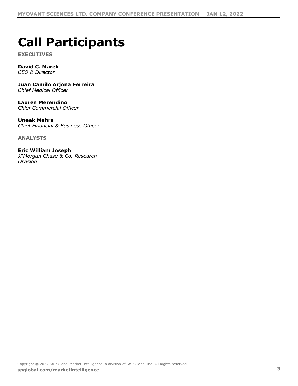## **Call Participants**

**EXECUTIVES**

### **David C. Marek**

*CEO & Director*

#### **Juan Camilo Arjona Ferreira** *Chief Medical Officer*

**Lauren Merendino** *Chief Commercial Officer*

#### **Uneek Mehra** *Chief Financial & Business Officer*

**ANALYSTS**

**Eric William Joseph** *JPMorgan Chase & Co, Research Division*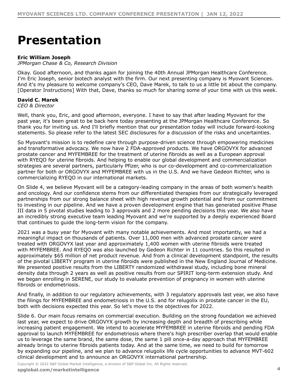### **Presentation**

#### **Eric William Joseph**

*JPMorgan Chase & Co, Research Division*

Okay. Good afternoon, and thanks again for joining the 40th Annual JPMorgan Healthcare Conference. I'm Eric Joseph, senior biotech analyst with the firm. Our next presenting company is Myovant Sciences. And it's my pleasure to welcome company's CEO, Dave Marek, to talk to us a little bit about the company. [Operator Instructions] With that, Dave, thanks so much for sharing some of your time with us this week.

#### **David C. Marek**

*CEO & Director*

Well, thank you, Eric, and good afternoon, everyone. I have to say that after leading Myovant for the past year, it's been great to be back here today presenting at the JPMorgan Healthcare Conference. So thank you for inviting us. And I'll briefly mention that our presentation today will include forward-looking statements. So please refer to the latest SEC disclosures for a discussion of the risks and uncertainties.

So Myovant's mission is to redefine care through purpose-driven science through empowering medicines and transformative advocacy. We now have 2 FDA-approved products. We have ORGOVYX for advanced prostate cancer and MYFEMBREE for the treatment of uterine fibroids as well as a European approval with RYEQO for uterine fibroids. And helping to enable our global development and commercialization strategies are several partners, particularly Pfizer, who is our co-development and co-commercialization partner for both or ORGOVYX and MYFEMBREE with us in the U.S. And we have Gedeon Richter, who is commercializing RYEQO in our international markets.

On Slide 4, we believe Myovant will be a category-leading company in the areas of both women's health and oncology. And our confidence stems from our differentiated therapies from our strategically leveraged partnerships from our strong balance sheet with high revenue growth potential and from our commitment to investing in our pipeline. And we have a proven development engine that has generated positive Phase III data in 5 pivotal studies leading to 3 approvals and 2 more pending decisions this year. We also have an incredibly strong executive team leading Myovant and we're supported by a deeply experienced Board that continues to guide the long-term vision for the company.

2021 was a busy year for Myovant with many notable achievements. And most importantly, we had a meaningful impact on thousands of patients. Over 11,000 men with advanced prostate cancer were treated with ORGOVYX last year and approximately 1,400 women with uterine fibroids were treated with MYFEMBREE. And RYEQO was also launched by Gedeon Richter in 11 countries. So this resulted in approximately \$65 million of net product revenue. And from a clinical development standpoint, the results of the pivotal LIBERTY program in uterine fibroids were published in the New England Journal of Medicine. We presented positive results from the LIBERTY randomized withdrawal study, including bone mineral density data through 2 years as well as positive results from our SPIRIT long-term extension study. And we began enrolling in SERENE, our study to evaluate prevention of pregnancy in women with uterine fibroids or endometriosis.

And finally, in addition to our regulatory achievements, with 3 regulatory approvals last year, we also have the filings for MYFEMBREE and endometriosis in the U.S. and for relugolix in prostate cancer in the EU, both with decisions expected this year. So let's move to the objectives for 2022.

Slide 6. Our main focus remains on commercial execution. Building on the strong foundation we achieved last year, we expect to drive ORGOVYX growth by increasing depth and breadth of prescribing while increasing patient engagement. We intend to accelerate MYFEMBREE in uterine fibroids and pending FDA approval to launch MYFEMBREE for endometriosis where there's high prescriber overlap that would enable us to leverage the same brand, the same dose, the same 1 pill once-a-day approach that MYFEMBREE already brings to uterine fibroids patients today. And at the same time, we need to build for tomorrow by expanding our pipeline, and we plan to advance relugolix life cycle opportunities to advance MVT-602 clinical development and to announce an ORGOVYX international partnership.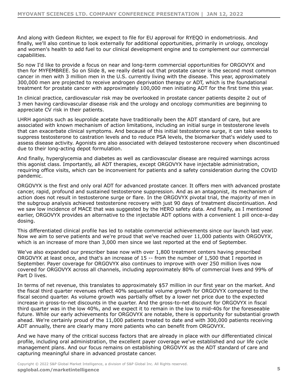And along with Gedeon Richter, we expect to file for EU approval for RYEQO in endometriosis. And finally, we'll also continue to look externally for additional opportunities, primarily in urology, oncology and women's health to add fuel to our clinical development engine and to complement our commercial capabilities.

So now I'd like to provide a focus on near and long-term commercial opportunities for ORGOVYX and then for MYFEMBREE. So on Slide 8, we really detail out that prostate cancer is the second most common cancer in men with 3 million men in the U.S. currently living with the disease. This year, approximately 300,000 men are projected to receive androgen deprivation therapy or ADT, which is the foundational treatment for prostate cancer with approximately 100,000 men initiating ADT for the first time this year.

In clinical practice, cardiovascular risk may be overlooked in prostate cancer patients despite 2 out of 3 men having cardiovascular disease risk and the urology and oncology communities are beginning to appreciate CV risk in their patients.

LHRH agonists such as leuprolide acetate have traditionally been the ADT standard of care, but are associated with known mechanism of action limitations, including an initial surge in testosterone levels that can exacerbate clinical symptoms. And because of this initial testosterone surge, it can take weeks to suppress testosterone to castration levels and to reduce PSA levels, the biomarker that's widely used to assess disease activity. Agonists are also associated with delayed testosterone recovery when discontinued due to their long-acting depot formulation.

And finally, hyperglycemia and diabetes as well as cardiovascular disease are required warnings across this agonist class. Importantly, all ADT therapies, except ORGOVYX have injectable administration, requiring office visits, which can be inconvenient for patients and a safety consideration during the COVID pandemic.

ORGOVYX is the first and only oral ADT for advanced prostate cancer. It offers men with advanced prostate cancer, rapid, profound and sustained testosterone suppression. And as an antagonist, its mechanism of action does not result in testosterone surge or flare. In the ORGOVYX pivotal trial, the majority of men in the subgroup analysis achieved testosterone recovery with just 90 days of treatment discontinuation. And we saw low incidence of MACE that was suggested by the HERO safety data. And finally, as I mentioned earlier, ORGOVYX provides an alternative to the injectable ADT options with a convenient 1 pill once-a-day dosing.

This differentiated clinical profile has led to notable commercial achievements since our launch last year. Now we aim to serve patients and we're proud that we've reached over 11,000 patients with ORGOVYX, which is an increase of more than 3,000 men since we last reported at the end of September.

We've also expanded our prescriber base now with over 1,800 treatment centers having prescribed ORGOVYX at least once, and that's an increase of 15 -- from the number of 1,500 that I reported in September. Payer coverage for ORGOVYX also continues to improve with over 250 million lives now covered for ORGOVYX across all channels, including approximately 80% of commercial lives and 99% of Part D lives.

In terms of net revenue, this translates to approximately \$57 million in our first year on the market. And the fiscal third quarter revenues reflect 40% sequential volume growth for ORGOVYX compared to the fiscal second quarter. As volume growth was partially offset by a lower net price due to the expected increase in gross-to-net discounts in the quarter. And the gross-to-net discount for ORGOVYX in fiscal third quarter was in the low 40%, and we expect it to remain in the low to mid-40s for the foreseeable future. While our early achievements for ORGOVYX are notable, there is opportunity for substantial growth ahead. We're certainly proud of the 11,000 patients treated to date and with 300,000 patients receiving ADT annually, there are clearly many more patients who can benefit from ORGOVYX.

And we have many of the critical success factors that are already in place with our differentiated clinical profile, including oral administration, the excellent payer coverage we've established and our life cycle management plans. And our focus remains on establishing ORGOVYX as the ADT standard of care and capturing meaningful share in advanced prostate cancer.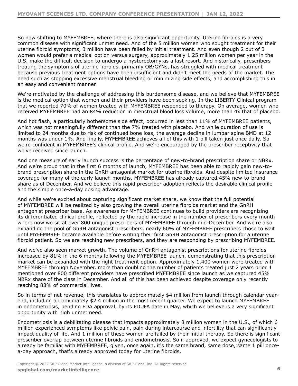So now shifting to MYFEMBREE, where there is also significant opportunity. Uterine fibroids is a very common disease with significant unmet need. And of the 5 million women who sought treatment for their uterine fibroid symptoms, 3 million have been failed by initial treatment. And even though 2 out of 3 women would prefer a medical option versus surgery, approximately 1.25 million women per year in the U.S. make the difficult decision to undergo a hysterectomy as a last resort. And historically, prescribers treating the symptoms of uterine fibroids, primarily OB/GYNs, has struggled with medical treatment because previous treatment options have been insufficient and didn't meet the needs of the market. The need such as stopping excessive menstrual bleeding or minimizing side effects, and accomplishing this in an easy and convenient manner.

We're motivated by the challenge of addressing this burdensome disease, and we believe that MYFEMBREE is the medical option that women and their providers have been seeking. In the LIBERTY Clinical program that we reported 70% of women treated with MYFEMBREE responded to therapy. On average, women who received MYFEMBREE had an 84% reduction in menstrual blood loss volume, more than 4x that of placebo.

And hot flash, a particularly bothersome side effect, occurred in less than 11% of MYFEMBREE patients, which was not meaningfully different than the 7% treated with placebo. And while duration of use is limited to 24 months due to risk of continued bone loss, the average decline in lumbar spine BMD at 12 months was under 1%. And finally, MYFEMBREE achieves all of this with 1 pill taken just once daily. So we're confident in MYFEMBREE's clinical profile. And we're encouraged by the prescriber receptivity that we've received since launch.

And one measure of early launch success is the percentage of new-to-brand prescription share or NBRx. And we're proud that in the first 6 months of launch, MYFEMBREE has been able to rapidly gain new-tobrand prescription share in the GnRH antagonist market for uterine fibroids. And despite limited insurance coverage for many of the early launch months, MYFEMBREE has already captured 45% new-to-brand share as of December. And we believe this rapid prescriber adoption reflects the desirable clinical profile and the simple once-a-day dosing advantage.

And while we're excited about capturing significant market share, we know that the full potential of MYFEMBREE will be realized by also growing the overall uterine fibroids market and the GnRH antagonist prescriber base. As awareness for MYFEMBREE continues to build providers are recognizing its differentiated clinical profile, reflected by the rapid increase in the number of prescribers every month where now we sit at over 800 unique prescribers of MYFEMBREE through mid-December. And we're also expanding the pool of GnRH antagonist prescribers, nearly 60% of MYFEMBREE prescribers chose to wait until MYFEMBREE became available before writing their first GnRH antagonist prescription for a uterine fibroid patient. So we are reaching new prescribers, and they are responding by prescribing MYFEMBREE.

And we've also seen market growth. The volume of GnRH antagonist prescriptions for uterine fibroids increased by 81% in the 6 months following the MYFEMBREE launch, demonstrating that this prescription market can be expanded with the right treatment option. Approximately 1,400 women were treated with MYFEMBREE through November, more than doubling the number of patients treated just 2 years prior. I mentioned over 800 different providers have prescribed MYFEMBREE since launch as we captured 45% NBRx share of the class in December. And all of this has been achieved despite coverage only recently reaching 83% of commercial lives.

So in terms of net revenue, this translates to approximately \$4 million from launch through calendar yearend, including approximately \$2.4 million in the most recent quarter. We expect to launch MYFEMBREE in endometriosis, pending FDA approval, by its PDUFA date in May, which we believe is a very significant opportunity with high unmet need.

Endometriosis is a debilitating disease that impacts approximately 8 million women in the U.S., of which 6 million experienced symptoms like pelvic pain, pain during intercourse and infertility that can significantly impact quality of life. And 1 million of these women are failed by their initial therapy. So there is significant prescriber overlap between uterine fibroids and endometriosis. So if approved, we expect gynecologists to already be familiar with MYFEMBREE, given, once again, it's the same brand, same dose, same 1 pill oncea-day approach, that's already approved today for uterine fibroids.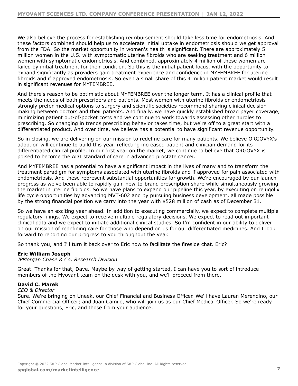We also believe the process for establishing reimbursement should take less time for endometriosis. And these factors combined should help us to accelerate initial uptake in endometriosis should we get approval from the FDA. So the market opportunity in women's health is significant. There are approximately 5 million women in the U.S. with symptomatic uterine fibroids who are seeking treatment and 6 million women with symptomatic endometriosis. And combined, approximately 4 million of these women are failed by initial treatment for their condition. So this is the initial patient focus, with the opportunity to expand significantly as providers gain treatment experience and confidence in MYFEMBREE for uterine fibroids and if approved endometriosis. So even a small share of this 4 million patient market would result in significant revenues for MYFEMBREE.

And there's reason to be optimistic about MYFEMBREE over the longer term. It has a clinical profile that meets the needs of both prescribers and patients. Most women with uterine fibroids or endometriosis strongly prefer medical options to surgery and scientific societies recommend sharing clinical decisionmaking between doctors and their patients. And finally, we have quickly established broad payer coverage, minimizing patient out-of-pocket costs and we continue to work towards assessing other hurdles to prescribing. So changing in trends prescribing behavior takes time, but we're off to a great start with a differentiated product. And over time, we believe has a potential to have significant revenue opportunity.

So in closing, we are delivering on our mission to redefine care for many patients. We believe ORGOVYX's adoption will continue to build this year, reflecting increased patient and clinician demand for its differentiated clinical profile. In our first year on the market, we continue to believe that ORGOVYX is poised to become the ADT standard of care in advanced prostate cancer.

And MYFEMBREE has a potential to have a significant impact in the lives of many and to transform the treatment paradigm for symptoms associated with uterine fibroids and if approved for pain associated with endometriosis. And these represent substantial opportunities for growth. We're encouraged by our launch progress as we've been able to rapidly gain new-to-brand prescription share while simultaneously growing the market in uterine fibroids. So we have plans to expand our pipeline this year, by executing on relugolix life cycle opportunities by advancing MVT-602 and by pursuing business development, all made possible by the strong financial position we carry into the year with \$528 million of cash as of December 31.

So we have an exciting year ahead. In addition to executing commercially, we expect to complete multiple regulatory filings. We expect to receive multiple regulatory decisions. We expect to read out important clinical data and we expect to initiate additional clinical studies. So I'm confident in our ability to deliver on our mission of redefining care for those who depend on us for our differentiated medicines. And I look forward to reporting our progress to you throughout the year.

So thank you, and I'll turn it back over to Eric now to facilitate the fireside chat. Eric?

#### **Eric William Joseph**

*JPMorgan Chase & Co, Research Division*

Great. Thanks for that, Dave. Maybe by way of getting started, I can have you to sort of introduce members of the Myovant team on the desk with you, and we'll proceed from there.

#### **David C. Marek**

*CEO & Director*

Sure. We're bringing on Uneek, our Chief Financial and Business Officer. We'll have Lauren Merendino, our Chief Commercial Officer; and Juan Camilo, who will join us as our Chief Medical Officer. So we're ready for your questions, Eric, and those from your audience.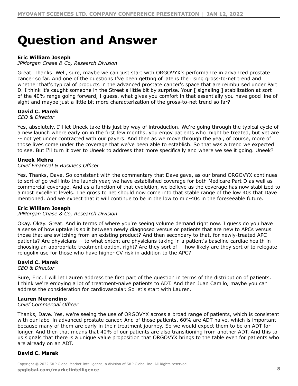### **Question and Answer**

#### **Eric William Joseph**

*JPMorgan Chase & Co, Research Division*

Great. Thanks. Well, sure, maybe we can just start with ORGOVYX's performance in advanced prostate cancer so far. And one of the questions I've been getting of late is the rising gross-to-net trend and whether that's typical of products in the advanced prostate cancer's space that are reimbursed under Part D. I think it's caught someone in the Street a little bit by surprise. Your [ signaling ] stabilization at sort of the 40% range going forward, I guess, what gives you comfort in that essentially you have good line of sight and maybe just a little bit more characterization of the gross-to-net trend so far?

#### **David C. Marek**

*CEO & Director*

Yes, absolutely. I'll let Uneek take this just by way of introduction. We're going through the typical cycle of a new launch where early on in the first few months, you enjoy patients who might be treated, but yet are -- not yet under contracted with our payers. And then as we move through the year, of course, more of those lives come under the coverage that we've been able to establish. So that was a trend we expected to see. But I'll turn it over to Uneek to address that more specifically and where we see it going. Uneek?

#### **Uneek Mehra**

#### *Chief Financial & Business Officer*

Yes. Thanks, Dave. So consistent with the commentary that Dave gave, as our brand ORGOVYX continues to sort of go well into the launch year, we have established coverage for both Medicare Part D as well as commercial coverage. And as a function of that evolution, we believe as the coverage has now stabilized to almost excellent levels. The gross to net should now come into that stable range of the low 40s that Dave mentioned. And we expect that it will continue to be in the low to mid-40s in the foreseeable future.

#### **Eric William Joseph**

#### *JPMorgan Chase & Co, Research Division*

Okay. Okay. Great. And in terms of where you're seeing volume demand right now. I guess do you have a sense of how uptake is split between newly diagnosed versus or patients that are new to APCs versus those that are switching from an existing product? And then secondary to that, for newly-treated APC patients? Are physicians -- to what extent are physicians taking in a patient's baseline cardiac health in choosing an appropriate treatment option, right? Are they sort of -- how likely are they sort of to relegate relugolix use for those who have higher CV risk in addition to the APC?

#### **David C. Marek**

*CEO & Director*

Sure, Eric. I will let Lauren address the first part of the question in terms of the distribution of patients. I think we're enjoying a lot of treatment-naive patients to ADT. And then Juan Camilo, maybe you can address the consideration for cardiovascular. So let's start with Lauren.

#### **Lauren Merendino**

*Chief Commercial Officer*

Thanks, Dave. Yes, we're seeing the use of ORGOVYX across a broad range of patients, which is consistent with our label in advanced prostate cancer. And of those patients, 60% are ADT naive, which is important because many of them are early in their treatment journey. So we would expect them to be on ADT for longer. And then that means that 40% of our patients are also transitioning from another ADT. And this to us signals that there is a unique value proposition that ORGOVYX brings to the table even for patients who are already on an ADT.

#### **David C. Marek**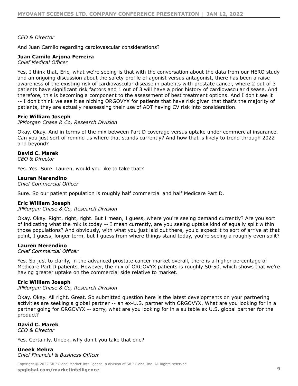#### *CEO & Director*

And Juan Camilo regarding cardiovascular considerations?

#### **Juan Camilo Arjona Ferreira**

*Chief Medical Officer*

Yes. I think that, Eric, what we're seeing is that with the conversation about the data from our HERO study and an ongoing discussion about the safety profile of agonist versus antagonist, there has been a raise awareness of the existing risk of cardiovascular disease in patients with prostate cancer, where 2 out of 3 patients have significant risk factors and 1 out of 3 will have a prior history of cardiovascular disease. And therefore, this is becoming a component to the assessment of best treatment options. And I don't see it -- I don't think we see it as niching ORGOVYX for patients that have risk given that that's the majority of patients, they are actually reassessing their use of ADT having CV risk into consideration.

#### **Eric William Joseph**

*JPMorgan Chase & Co, Research Division*

Okay. Okay. And in terms of the mix between Part D coverage versus uptake under commercial insurance. Can you just sort of remind us where that stands currently? And how that is likely to trend through 2022 and beyond?

#### **David C. Marek**

*CEO & Director*

Yes. Yes. Sure. Lauren, would you like to take that?

#### **Lauren Merendino**

*Chief Commercial Officer*

Sure. So our patient population is roughly half commercial and half Medicare Part D.

#### **Eric William Joseph**

*JPMorgan Chase & Co, Research Division*

Okay. Okay. Right, right, right. But I mean, I guess, where you're seeing demand currently? Are you sort of indicating what the mix is today -- I mean currently, are you seeing uptake kind of equally split within those populations? And obviously, with what you just laid out there, you'd expect it to sort of arrive at that point, I guess, longer term, but I guess from where things stand today, you're seeing a roughly even split?

#### **Lauren Merendino**

*Chief Commercial Officer*

Yes. So just to clarify, in the advanced prostate cancer market overall, there is a higher percentage of Medicare Part D patients. However, the mix of ORGOVYX patients is roughly 50-50, which shows that we're having greater uptake on the commercial side relative to market.

#### **Eric William Joseph**

*JPMorgan Chase & Co, Research Division*

Okay. Okay. All right. Great. So submitted question here is the latest developments on your partnering activities are seeking a global partner -- an ex-U.S. partner with ORGOVYX. What are you looking for in a partner going for ORGOVYX -- sorry, what are you looking for in a suitable ex U.S. global partner for the product?

#### **David C. Marek**

*CEO & Director*

Yes. Certainly, Uneek, why don't you take that one?

**Uneek Mehra** *Chief Financial & Business Officer*

Copyright © 2022 S&P Global Market Intelligence, a division of S&P Global Inc. All Rights reserved. **[spglobal.com/marketintelligence](https://marketintelligence.spglobal.com/) 9**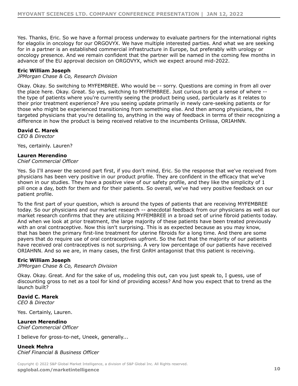Yes. Thanks, Eric. So we have a formal process underway to evaluate partners for the international rights for elagolix in oncology for our ORGOVYX. We have multiple interested parties. And what we are seeking for in a partner is an established commercial infrastructure in Europe, but preferably with urology or oncology presence. And we remain confident that the partner will be named in the coming few months in advance of the EU approval decision on ORGOVYX, which we expect around mid-2022.

#### **Eric William Joseph**

*JPMorgan Chase & Co, Research Division*

Okay. Okay. So switching to MYFEMBREE. Who would be -- sorry. Questions are coming in from all over the place here. Okay. Great. So yes, switching to MYFEMBREE. Just curious to get a sense of where - the type of patients where you're currently seeing the product being used, particularly as it relates to their prior treatment experience? Are you seeing update primarily in newly care-seeking patients or for those who might be experienced transitioning from something else. And then among physicians, the targeted physicians that you're detailing to, anything in the way of feedback in terms of their recognizing a difference in how the product is being received relative to the incumbents Orilissa, ORIAHNN.

#### **David C. Marek**

*CEO & Director*

Yes, certainly. Lauren?

#### **Lauren Merendino**

*Chief Commercial Officer*

Yes. So I'll answer the second part first, if you don't mind, Eric. So the response that we've received from physicians has been very positive in our product profile. They are confident in the efficacy that we've shown in our studies. They have a positive view of our safety profile, and they like the simplicity of 1 pill once a day, both for them and for their patients. So overall, we've had very positive feedback on our patient profile.

To the first part of your question, which is around the types of patients that are receiving MYFEMBREE today. So our physicians and our market research -- anecdotal feedback from our physicians as well as our market research confirms that they are utilizing MYFEMBREE in a broad set of urine fibroid patients today. And when we look at prior treatment, the large majority of these patients have been treated previously with an oral contraceptive. Now this isn't surprising. This is as expected because as you may know, that has been the primary first-line treatment for uterine fibroids for a long time. And there are some payers that do require use of oral contraceptives upfront. So the fact that the majority of our patients have received oral contraceptives is not surprising. A very low percentage of our patients have received ORIAHNN. And so we are, in many cases, the first GnRH antagonist that this patient is receiving.

#### **Eric William Joseph**

*JPMorgan Chase & Co, Research Division*

Okay. Okay. Great. And for the sake of us, modeling this out, can you just speak to, I guess, use of discounting gross to net as a tool for kind of providing access? And how you expect that to trend as the launch built?

**David C. Marek** *CEO & Director*

Yes. Certainly, Lauren.

#### **Lauren Merendino** *Chief Commercial Officer*

I believe for gross-to-net, Uneek, generally...

**Uneek Mehra** *Chief Financial & Business Officer*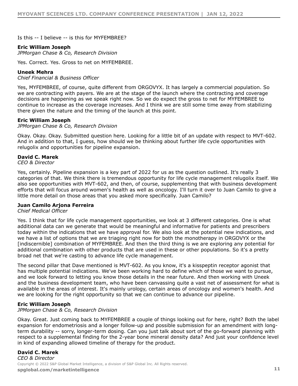Is this -- I believe -- is this for MYFEMBREE?

#### **Eric William Joseph**

*JPMorgan Chase & Co, Research Division*

Yes. Correct. Yes. Gross to net on MYFEMBREE.

#### **Uneek Mehra**

*Chief Financial & Business Officer*

Yes, MYFEMBREE, of course, quite different from ORGOVYX. It has largely a commercial population. So we are contracting with payers. We are at the stage of the launch where the contracting and coverage decisions are happening as we speak right now. So we do expect the gross to net for MYFEMBREE to continue to increase as the coverage increases. And I think we are still some time away from stabilizing there given the nature and the timing of the launch at this point.

#### **Eric William Joseph**

#### *JPMorgan Chase & Co, Research Division*

Okay. Okay. Okay. Submitted question here. Looking for a little bit of an update with respect to MVT-602. And in addition to that, I guess, how should we be thinking about further life cycle opportunities with relugolix and opportunities for pipeline expansion.

#### **David C. Marek**

*CEO & Director*

Yes, certainly. Pipeline expansion is a key part of 2022 for us as the question outlined. It's really 3 categories of that. We think there is tremendous opportunity for life cycle management relugolix itself. We also see opportunities with MVT-602, and then, of course, supplementing that with business development efforts that will focus around women's health as well as oncology. I'll turn it over to Juan Camilo to give a little more detail on those areas that you asked more specifically. Juan Camilo?

#### **Juan Camilo Arjona Ferreira**

#### *Chief Medical Officer*

Yes. I think that for life cycle management opportunities, we look at 3 different categories. One is what additional data can we generate that would be meaningful and informative for patients and prescribers today within the indications that we have approval for. We also look at the potential new indications, and we have a list of options that we are triaging right now for both the monotherapy in ORGOVYX or the [indiscernible] combination of MYFEMBREE. And then the third thing is we are exploring any potential for additional combination with other products that are used in these or other populations. So it's a pretty broad net that we're casting to advance life cycle management.

The second pillar that Dave mentioned is MVT-602. As you know, it's a kisspeptin receptor agonist that has multiple potential indications. We've been working hard to define which of those we want to pursue, and we look forward to letting you know those details in the near future. And then working with Uneek and the business development team, who have been canvassing quite a vast net of assessment for what is available in the areas of interest. It's mainly urology, certain areas of oncology and women's health. And we are looking for the right opportunity so that we can continue to advance our pipeline.

#### **Eric William Joseph**

*JPMorgan Chase & Co, Research Division*

Okay. Great. Just coming back to MYFEMBREE a couple of things looking out for here, right? Both the label expansion for endometriosis and a longer follow-up and possible submission for an amendment with longterm durability -- sorry, longer-term dosing. Can you just talk about sort of the go-forward planning with respect to a supplemental finding for the 2-year bone mineral density data? And just your confidence level in kind of expanding allowed timeline of therapy for the product.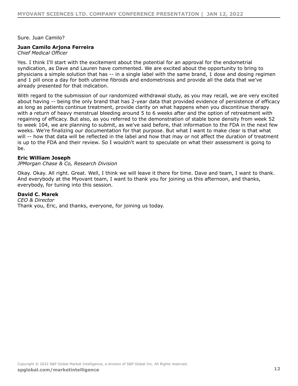Sure. Juan Camilo?

#### **Juan Camilo Arjona Ferreira**

*Chief Medical Officer*

Yes. I think I'll start with the excitement about the potential for an approval for the endometrial syndication, as Dave and Lauren have commented. We are excited about the opportunity to bring to physicians a simple solution that has -- in a single label with the same brand, 1 dose and dosing regimen and 1 pill once a day for both uterine fibroids and endometriosis and provide all the data that we've already presented for that indication.

With regard to the submission of our randomized withdrawal study, as you may recall, we are very excited about having -- being the only brand that has 2-year data that provided evidence of persistence of efficacy as long as patients continue treatment, provide clarity on what happens when you discontinue therapy with a return of heavy menstrual bleeding around 5 to 6 weeks after and the option of retreatment with regaining of efficacy. But also, as you referred to the demonstration of stable bone density from week 52 to week 104, we are planning to submit, as we've said before, that information to the FDA in the next few weeks. We're finalizing our documentation for that purpose. But what I want to make clear is that what will -- how that data will be reflected in the label and how that may or not affect the duration of treatment is up to the FDA and their review. So I wouldn't want to speculate on what their assessment is going to be.

#### **Eric William Joseph**

*JPMorgan Chase & Co, Research Division*

Okay. Okay. All right. Great. Well, I think we will leave it there for time. Dave and team, I want to thank. And everybody at the Myovant team, I want to thank you for joining us this afternoon, and thanks, everybody, for tuning into this session.

#### **David C. Marek**

*CEO & Director* Thank you, Eric, and thanks, everyone, for joining us today.